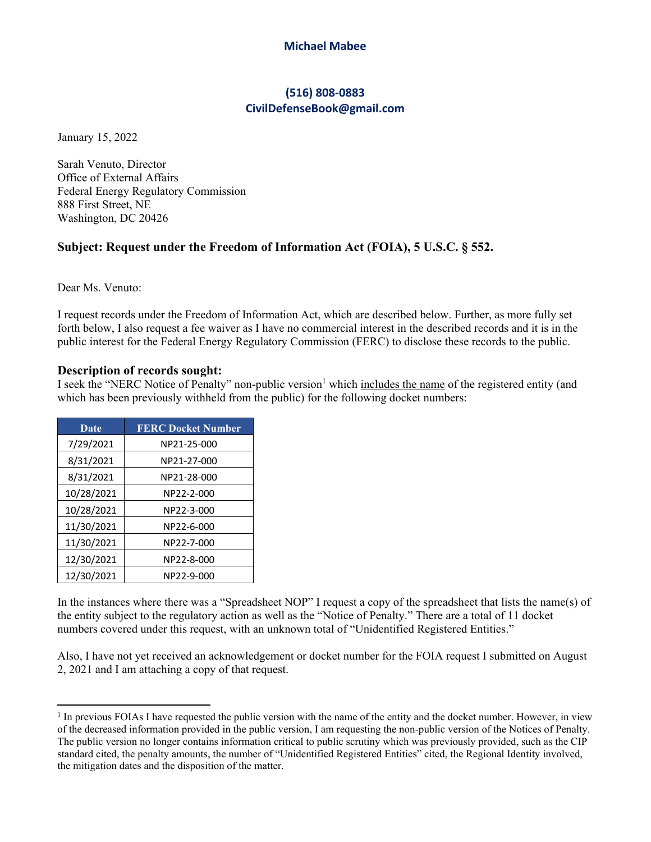### **Michael Mabee**

# **(516) 808‐0883 CivilDefenseBook@gmail.com**

January 15, 2022

Sarah Venuto, Director Office of External Affairs Federal Energy Regulatory Commission 888 First Street, NE Washington, DC 20426

## **Subject: Request under the Freedom of Information Act (FOIA), 5 U.S.C. § 552.**

Dear Ms. Venuto:

I request records under the Freedom of Information Act, which are described below. Further, as more fully set forth below, I also request a fee waiver as I have no commercial interest in the described records and it is in the public interest for the Federal Energy Regulatory Commission (FERC) to disclose these records to the public.

### **Description of records sought:**

I seek the "NERC Notice of Penalty" non-public version<sup>1</sup> which includes the name of the registered entity (and which has been previously withheld from the public) for the following docket numbers:

| Date       | <b>FERC Docket Number</b> |
|------------|---------------------------|
| 7/29/2021  | NP21-25-000               |
| 8/31/2021  | NP21-27-000               |
| 8/31/2021  | NP21-28-000               |
| 10/28/2021 | NP22-2-000                |
| 10/28/2021 | NP22-3-000                |
| 11/30/2021 | NP22-6-000                |
| 11/30/2021 | NP22-7-000                |
| 12/30/2021 | NP22-8-000                |
| 12/30/2021 | NP22-9-000                |

In the instances where there was a "Spreadsheet NOP" I request a copy of the spreadsheet that lists the name(s) of the entity subject to the regulatory action as well as the "Notice of Penalty." There are a total of 11 docket numbers covered under this request, with an unknown total of "Unidentified Registered Entities."

Also, I have not yet received an acknowledgement or docket number for the FOIA request I submitted on August 2, 2021 and I am attaching a copy of that request.

<sup>&</sup>lt;sup>1</sup> In previous FOIAs I have requested the public version with the name of the entity and the docket number. However, in view of the decreased information provided in the public version, I am requesting the non-public version of the Notices of Penalty. The public version no longer contains information critical to public scrutiny which was previously provided, such as the CIP standard cited, the penalty amounts, the number of "Unidentified Registered Entities" cited, the Regional Identity involved, the mitigation dates and the disposition of the matter.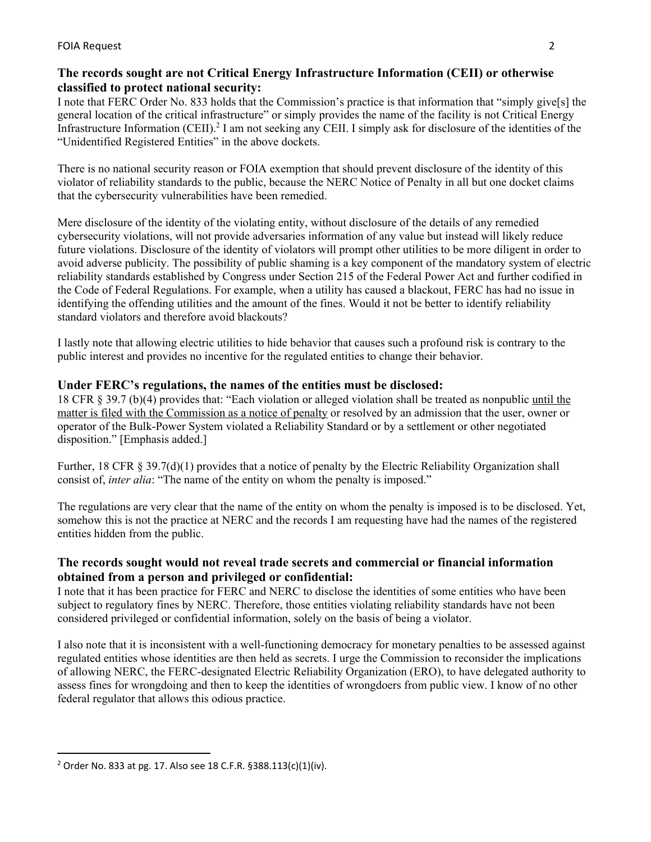# **The records sought are not Critical Energy Infrastructure Information (CEII) or otherwise classified to protect national security:**

I note that FERC Order No. 833 holds that the Commission's practice is that information that "simply give[s] the general location of the critical infrastructure" or simply provides the name of the facility is not Critical Energy Infrastructure Information (CEII).<sup>2</sup> I am not seeking any CEII. I simply ask for disclosure of the identities of the "Unidentified Registered Entities" in the above dockets.

There is no national security reason or FOIA exemption that should prevent disclosure of the identity of this violator of reliability standards to the public, because the NERC Notice of Penalty in all but one docket claims that the cybersecurity vulnerabilities have been remedied.

Mere disclosure of the identity of the violating entity, without disclosure of the details of any remedied cybersecurity violations, will not provide adversaries information of any value but instead will likely reduce future violations. Disclosure of the identity of violators will prompt other utilities to be more diligent in order to avoid adverse publicity. The possibility of public shaming is a key component of the mandatory system of electric reliability standards established by Congress under Section 215 of the Federal Power Act and further codified in the Code of Federal Regulations. For example, when a utility has caused a blackout, FERC has had no issue in identifying the offending utilities and the amount of the fines. Would it not be better to identify reliability standard violators and therefore avoid blackouts?

I lastly note that allowing electric utilities to hide behavior that causes such a profound risk is contrary to the public interest and provides no incentive for the regulated entities to change their behavior.

# **Under FERC's regulations, the names of the entities must be disclosed:**

18 CFR § 39.7 (b)(4) provides that: "Each violation or alleged violation shall be treated as nonpublic until the matter is filed with the Commission as a notice of penalty or resolved by an admission that the user, owner or operator of the Bulk-Power System violated a Reliability Standard or by a settlement or other negotiated disposition." [Emphasis added.]

Further, 18 CFR § 39.7(d)(1) provides that a notice of penalty by the Electric Reliability Organization shall consist of, *inter alia*: "The name of the entity on whom the penalty is imposed."

The regulations are very clear that the name of the entity on whom the penalty is imposed is to be disclosed. Yet, somehow this is not the practice at NERC and the records I am requesting have had the names of the registered entities hidden from the public.

## **The records sought would not reveal trade secrets and commercial or financial information obtained from a person and privileged or confidential:**

I note that it has been practice for FERC and NERC to disclose the identities of some entities who have been subject to regulatory fines by NERC. Therefore, those entities violating reliability standards have not been considered privileged or confidential information, solely on the basis of being a violator.

I also note that it is inconsistent with a well-functioning democracy for monetary penalties to be assessed against regulated entities whose identities are then held as secrets. I urge the Commission to reconsider the implications of allowing NERC, the FERC-designated Electric Reliability Organization (ERO), to have delegated authority to assess fines for wrongdoing and then to keep the identities of wrongdoers from public view. I know of no other federal regulator that allows this odious practice.

<sup>2</sup> Order No. 833 at pg. 17. Also see 18 C.F.R. §388.113(c)(1)(iv).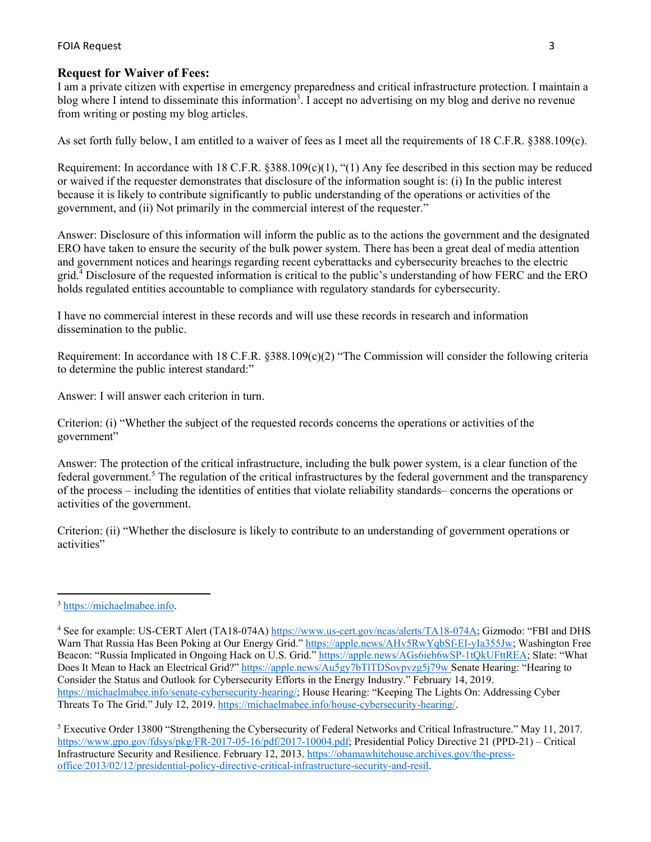#### FOIA Request 3

### **Request for Waiver of Fees:**

I am a private citizen with expertise in emergency preparedness and critical infrastructure protection. I maintain a blog where I intend to disseminate this information<sup>3</sup>. I accept no advertising on my blog and derive no revenue from writing or posting my blog articles.

As set forth fully below, I am entitled to a waiver of fees as I meet all the requirements of 18 C.F.R. §388.109(c).

Requirement: In accordance with 18 C.F.R.  $\S 388.109(c)(1)$ , "(1) Any fee described in this section may be reduced or waived if the requester demonstrates that disclosure of the information sought is: (i) In the public interest because it is likely to contribute significantly to public understanding of the operations or activities of the government, and (ii) Not primarily in the commercial interest of the requester."

Answer: Disclosure of this information will inform the public as to the actions the government and the designated ERO have taken to ensure the security of the bulk power system. There has been a great deal of media attention and government notices and hearings regarding recent cyberattacks and cybersecurity breaches to the electric grid.<sup>4</sup> Disclosure of the requested information is critical to the public's understanding of how FERC and the ERO holds regulated entities accountable to compliance with regulatory standards for cybersecurity.

I have no commercial interest in these records and will use these records in research and information dissemination to the public.

Requirement: In accordance with 18 C.F.R. §388.109(c)(2) "The Commission will consider the following criteria to determine the public interest standard:"

Answer: I will answer each criterion in turn.

Criterion: (i) "Whether the subject of the requested records concerns the operations or activities of the government"

Answer: The protection of the critical infrastructure, including the bulk power system, is a clear function of the federal government.<sup>5</sup> The regulation of the critical infrastructures by the federal government and the transparency of the process – including the identities of entities that violate reliability standards– concerns the operations or activities of the government.

Criterion: (ii) "Whether the disclosure is likely to contribute to an understanding of government operations or activities"

<sup>3</sup> https://michaelmabee.info.

<sup>&</sup>lt;sup>4</sup> See for example: US-CERT Alert (TA18-074A) https://www.us-cert.gov/ncas/alerts/TA18-074A; Gizmodo: "FBI and DHS Warn That Russia Has Been Poking at Our Energy Grid." https://apple.news/AHv5RwYqbSf-EI-yIa355Jw; Washington Free Beacon: "Russia Implicated in Ongoing Hack on U.S. Grid." https://apple.news/AGs6ieh6wSP-1tQkUFttREA; Slate: "What Does It Mean to Hack an Electrical Grid?" https://apple.news/Au5gy7bTlTDSovpvzg5j79w Senate Hearing: "Hearing to Consider the Status and Outlook for Cybersecurity Efforts in the Energy Industry." February 14, 2019. https://michaelmabee.info/senate-cybersecurity-hearing/; House Hearing: "Keeping The Lights On: Addressing Cyber Threats To The Grid." July 12, 2019. https://michaelmabee.info/house-cybersecurity-hearing/.

<sup>&</sup>lt;sup>5</sup> Executive Order 13800 "Strengthening the Cybersecurity of Federal Networks and Critical Infrastructure." May 11, 2017. https://www.gpo.gov/fdsys/pkg/FR-2017-05-16/pdf/2017-10004.pdf; Presidential Policy Directive 21 (PPD-21) – Critical Infrastructure Security and Resilience. February 12, 2013. https://obamawhitehouse.archives.gov/the-pressoffice/2013/02/12/presidential-policy-directive-critical-infrastructure-security-and-resil.